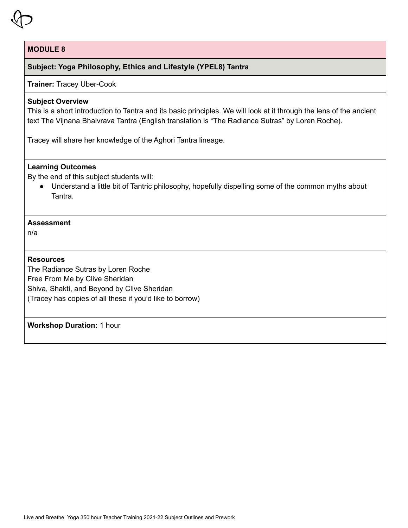

# **Subject: Yoga Philosophy, Ethics and Lifestyle (YPEL8) Tantra**

## **Trainer:** Tracey Uber-Cook

## **Subject Overview**

This is a short introduction to Tantra and its basic principles. We will look at it through the lens of the ancient text The Vijnana Bhaivrava Tantra (English translation is "The Radiance Sutras" by Loren Roche).

Tracey will share her knowledge of the Aghori Tantra lineage.

### **Learning Outcomes**

By the end of this subject students will:

● Understand a little bit of Tantric philosophy, hopefully dispelling some of the common myths about **Tantra** 

# **Assessment**

n/a

## **Resources**

The Radiance Sutras by Loren Roche Free From Me by Clive Sheridan Shiva, Shakti, and Beyond by Clive Sheridan (Tracey has copies of all these if you'd like to borrow)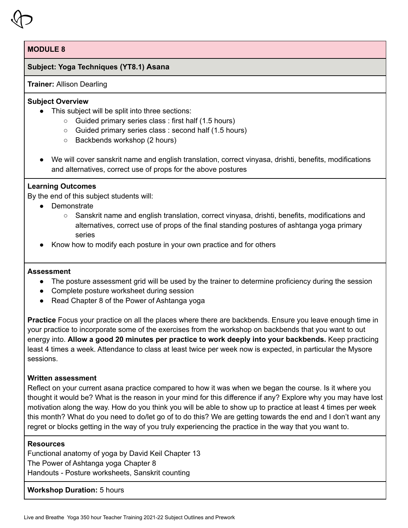# **Subject: Yoga Techniques (YT8.1) Asana**

#### **Trainer:** Allison Dearling

# **Subject Overview**

- This subject will be split into three sections:
	- Guided primary series class : first half (1.5 hours)
	- Guided primary series class : second half (1.5 hours)
	- Backbends workshop (2 hours)
- We will cover sanskrit name and english translation, correct vinyasa, drishti, benefits, modifications and alternatives, correct use of props for the above postures

# **Learning Outcomes**

By the end of this subject students will:

- Demonstrate
	- Sanskrit name and english translation, correct vinyasa, drishti, benefits, modifications and alternatives, correct use of props of the final standing postures of ashtanga yoga primary series
- Know how to modify each posture in your own practice and for others

#### **Assessment**

- The posture assessment grid will be used by the trainer to determine proficiency during the session
- Complete posture worksheet during session
- Read Chapter 8 of the Power of Ashtanga yoga

**Practice** Focus your practice on all the places where there are backbends. Ensure you leave enough time in your practice to incorporate some of the exercises from the workshop on backbends that you want to out energy into. **Allow a good 20 minutes per practice to work deeply into your backbends.** Keep practicing least 4 times a week. Attendance to class at least twice per week now is expected, in particular the Mysore sessions.

#### **Written assessment**

Reflect on your current asana practice compared to how it was when we began the course. Is it where you thought it would be? What is the reason in your mind for this difference if any? Explore why you may have lost motivation along the way. How do you think you will be able to show up to practice at least 4 times per week this month? What do you need to do/let go of to do this? We are getting towards the end and I don't want any regret or blocks getting in the way of you truly experiencing the practice in the way that you want to.

# **Resources**

Functional anatomy of yoga by David Keil Chapter 13 The Power of Ashtanga yoga Chapter 8 Handouts - Posture worksheets, Sanskrit counting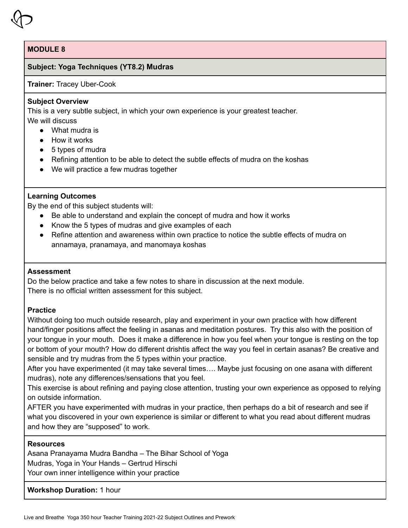# **Subject: Yoga Techniques (YT8.2) Mudras**

#### **Trainer:** Tracey Uber-Cook

## **Subject Overview**

This is a very subtle subject, in which your own experience is your greatest teacher. We will discuss

- What mudra is
- How it works
- 5 types of mudra
- Refining attention to be able to detect the subtle effects of mudra on the koshas
- We will practice a few mudras together

# **Learning Outcomes**

By the end of this subject students will:

- Be able to understand and explain the concept of mudra and how it works
- Know the 5 types of mudras and give examples of each
- Refine attention and awareness within own practice to notice the subtle effects of mudra on annamaya, pranamaya, and manomaya koshas

# **Assessment**

Do the below practice and take a few notes to share in discussion at the next module. There is no official written assessment for this subject.

# **Practice**

Without doing too much outside research, play and experiment in your own practice with how different hand/finger positions affect the feeling in asanas and meditation postures. Try this also with the position of your tongue in your mouth. Does it make a difference in how you feel when your tongue is resting on the top or bottom of your mouth? How do different drishtis affect the way you feel in certain asanas? Be creative and sensible and try mudras from the 5 types within your practice.

After you have experimented (it may take several times…. Maybe just focusing on one asana with different mudras), note any differences/sensations that you feel.

This exercise is about refining and paying close attention, trusting your own experience as opposed to relying on outside information.

AFTER you have experimented with mudras in your practice, then perhaps do a bit of research and see if what you discovered in your own experience is similar or different to what you read about different mudras and how they are "supposed" to work.

# **Resources**

Asana Pranayama Mudra Bandha – The Bihar School of Yoga Mudras, Yoga in Your Hands – Gertrud Hirschi Your own inner intelligence within your practice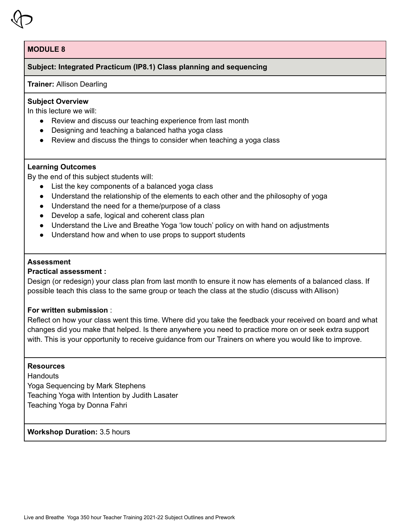# **Subject: Integrated Practicum (IP8.1) Class planning and sequencing**

#### **Trainer:** Allison Dearling

## **Subject Overview**

In this lecture we will:

- Review and discuss our teaching experience from last month
- Designing and teaching a balanced hatha yoga class
- Review and discuss the things to consider when teaching a yoga class

#### **Learning Outcomes**

By the end of this subject students will:

- List the key components of a balanced yoga class
- Understand the relationship of the elements to each other and the philosophy of yoga
- Understand the need for a theme/purpose of a class
- Develop a safe, logical and coherent class plan
- Understand the Live and Breathe Yoga 'low touch' policy on with hand on adjustments
- Understand how and when to use props to support students

# **Assessment**

## **Practical assessment :**

Design (or redesign) your class plan from last month to ensure it now has elements of a balanced class. If possible teach this class to the same group or teach the class at the studio (discuss with Allison)

#### **For written submission** :

Reflect on how your class went this time. Where did you take the feedback your received on board and what changes did you make that helped. Is there anywhere you need to practice more on or seek extra support with. This is your opportunity to receive guidance from our Trainers on where you would like to improve.

#### **Resources**

**Handouts** Yoga Sequencing by Mark Stephens Teaching Yoga with Intention by Judith Lasater Teaching Yoga by Donna Fahri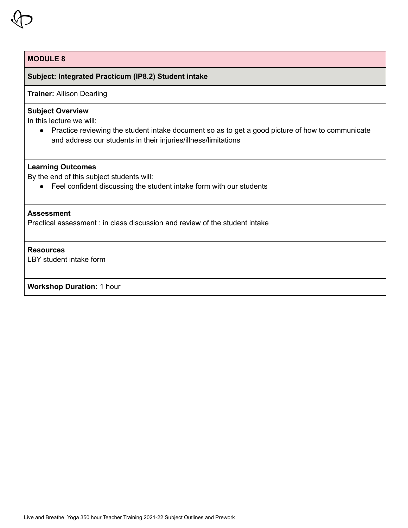# **Subject: Integrated Practicum (IP8.2) Student intake**

**Trainer:** Allison Dearling

## **Subject Overview**

In this lecture we will:

● Practice reviewing the student intake document so as to get a good picture of how to communicate and address our students in their injuries/illness/limitations

#### **Learning Outcomes**

By the end of this subject students will:

● Feel confident discussing the student intake form with our students

#### **Assessment**

Practical assessment : in class discussion and review of the student intake

#### **Resources**

LBY student intake form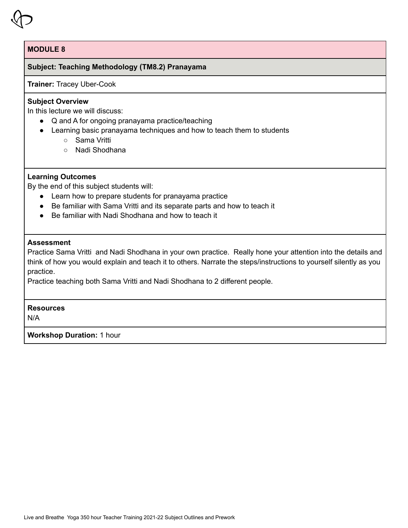# **Subject: Teaching Methodology (TM8.2) Pranayama**

## **Trainer:** Tracey Uber-Cook

# **Subject Overview**

In this lecture we will discuss:

- Q and A for ongoing pranayama practice/teaching
- Learning basic pranayama techniques and how to teach them to students
	- Sama Vritti
	- Nadi Shodhana

# **Learning Outcomes**

By the end of this subject students will:

- Learn how to prepare students for pranayama practice
- Be familiar with Sama Vritti and its separate parts and how to teach it
- Be familiar with Nadi Shodhana and how to teach it

# **Assessment**

Practice Sama Vritti and Nadi Shodhana in your own practice. Really hone your attention into the details and think of how you would explain and teach it to others. Narrate the steps/instructions to yourself silently as you practice.

Practice teaching both Sama Vritti and Nadi Shodhana to 2 different people.

# **Resources**

N/A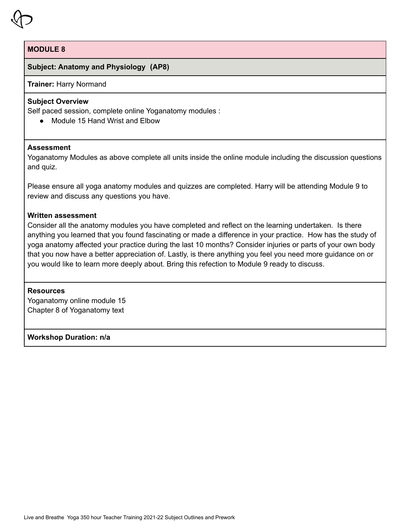

# **Subject: Anatomy and Physiology (AP8)**

**Trainer:** Harry Normand

# **Subject Overview**

Self paced session, complete online Yoganatomy modules :

● Module 15 Hand Wrist and Elbow

# **Assessment**

Yoganatomy Modules as above complete all units inside the online module including the discussion questions and quiz.

Please ensure all yoga anatomy modules and quizzes are completed. Harry will be attending Module 9 to review and discuss any questions you have.

#### **Written assessment**

Consider all the anatomy modules you have completed and reflect on the learning undertaken. Is there anything you learned that you found fascinating or made a difference in your practice. How has the study of yoga anatomy affected your practice during the last 10 months? Consider injuries or parts of your own body that you now have a better appreciation of. Lastly, is there anything you feel you need more guidance on or you would like to learn more deeply about. Bring this refection to Module 9 ready to discuss.

#### **Resources**

Yoganatomy online module 15 Chapter 8 of Yoganatomy text

# **Workshop Duration: n/a**